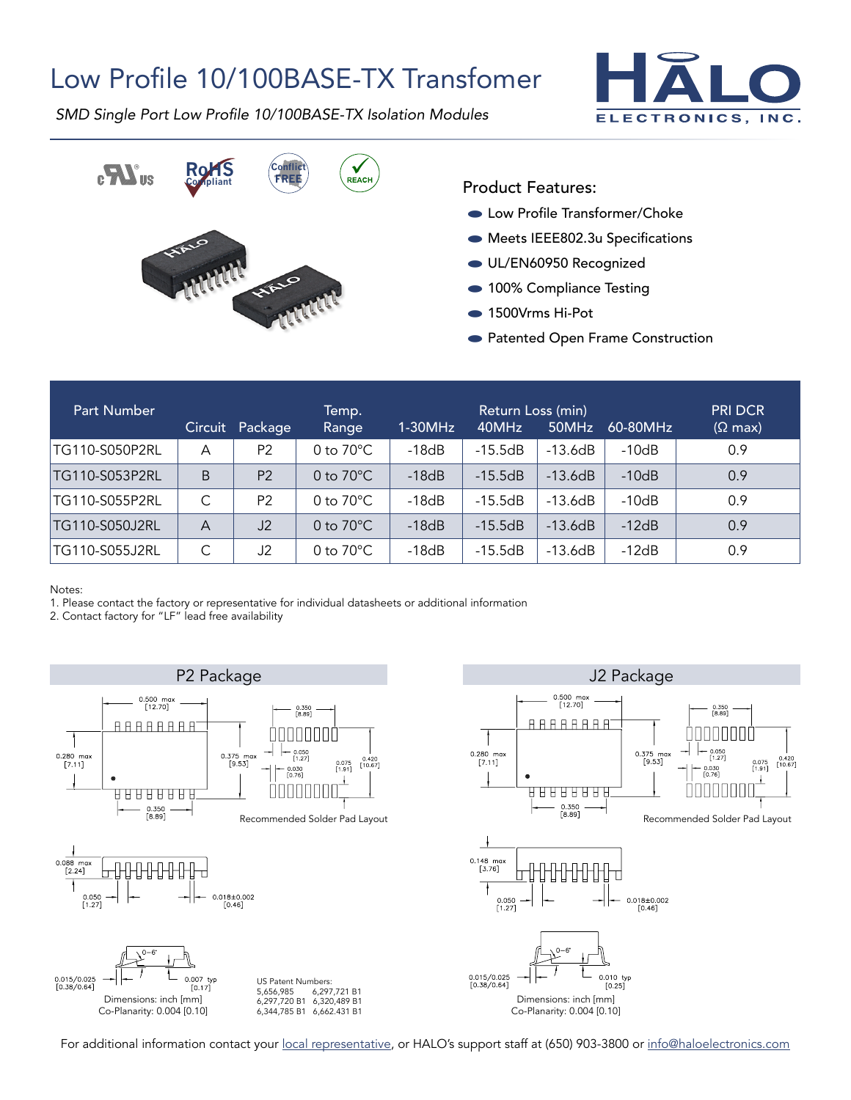## Low Profile 10/100BASE-TX Transfomer



SMD Single Port Low Profile 10/100BASE-TX Isolation Modules



Product Features:

- Low Profile Transformer/Choke
- Meets IEEE802.3u Specifications
- UL/EN60950 Recognized
- 100% Compliance Testing
- 1500Vrms Hi-Pot
- Patented Open Frame Construction

| Part Number    | Circuit | Package        | Temp.<br>Range      | 1-30MHz | Return Loss (min)<br>40MHz | 50MHz     | 60-80MHz | <b>PRI DCR</b><br>$(\Omega \text{ max})$ |
|----------------|---------|----------------|---------------------|---------|----------------------------|-----------|----------|------------------------------------------|
| TG110-S050P2RL | А       | P <sub>2</sub> | 0 to $70^{\circ}$ C | $-18dB$ | $-15.5dB$                  | $-13.6dB$ | $-10dB$  | 0.9                                      |
| TG110-S053P2RL | B       | P <sub>2</sub> | 0 to $70^{\circ}$ C | $-18dB$ | $-15.5dB$                  | $-13.6dB$ | $-10dB$  | 0.9                                      |
| TG110-S055P2RL | C       | P <sub>2</sub> | 0 to $70^{\circ}$ C | $-18dB$ | $-15.5dB$                  | $-13.6dB$ | $-10dB$  | 0.9                                      |
| TG110-S050J2RL | A       | J2             | 0 to $70^{\circ}$ C | $-18dB$ | $-15.5dB$                  | $-13.6dB$ | $-12dB$  | 0.9                                      |
| TG110-S055J2RL |         | J2             | 0 to $70^{\circ}$ C | $-18dB$ | $-15.5dB$                  | $-13.6dB$ | $-12dB$  | 0.9                                      |

Notes:

1. Please contact the factory or representative for individual datasheets or additional information

2. Contact factory for "LF" lead free availability





For additional information contact your [local representative](http://www.haloelectronics.com/company/locations/), or HALO's support staff at (650) 903-3800 or [info@haloelectronics.com](mailto:info@haloelectronics.com)